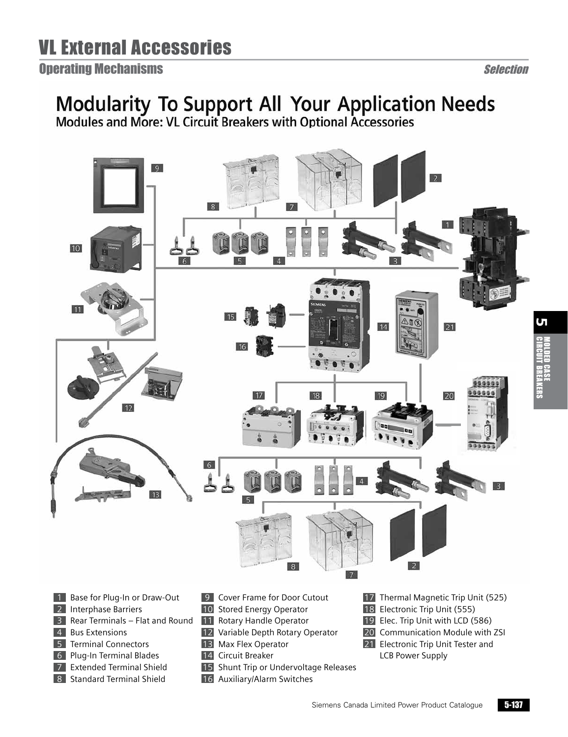#### **Operating Mechanisms**

#### Selection

# Modularity To Support All Your Application Needs<br>Modules and More: VL Circuit Breakers with Optional Accessories



- 
- 1 Base for Plug-In or Draw-Out 2 Interphase Barriers
- 3 Rear Terminals Flat and Round
- **4** Bus Extensions
- **5** Terminal Connectors
- 6 Plug-In Terminal Blades
- 7 Extended Terminal Shield
- 8 Standard Terminal Shield
- **9** Cover Frame for Door Cutout
- 10 Stored Energy Operator
- 11 Rotary Handle Operator
- 12 Variable Depth Rotary Operator
- 13 Max Flex Operator
- 14 Circuit Breaker
- 15 Shunt Trip or Undervoltage Releases
- 16 Auxiliary/Alarm Switches
- 17 Thermal Magnetic Trip Unit (525)
- 18 Electronic Trip Unit (555)
- 19 Elec. Trip Unit with LCD (586)
- 20 Communication Module with ZSI
- 21 Electronic Trip Unit Tester and LCB Power Supply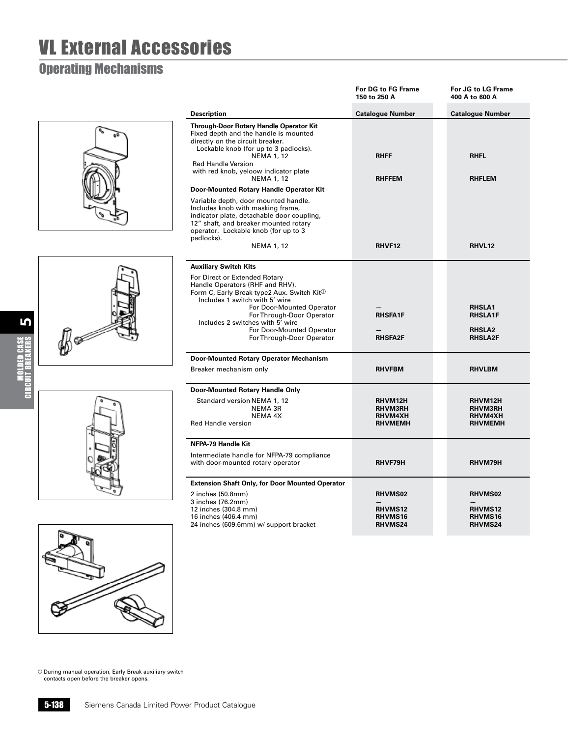### Operating Mechanisms









|                                                                                                                                                                                                                                                                                                                      | <b>For DG to FG Frame</b><br>150 to 250 A                     | For JG to LG Frame<br>400 A to 600 A                               |
|----------------------------------------------------------------------------------------------------------------------------------------------------------------------------------------------------------------------------------------------------------------------------------------------------------------------|---------------------------------------------------------------|--------------------------------------------------------------------|
| <b>Description</b>                                                                                                                                                                                                                                                                                                   | <b>Catalogue Number</b>                                       | <b>Catalogue Number</b>                                            |
| Through-Door Rotary Handle Operator Kit<br>Fixed depth and the handle is mounted<br>directly on the circuit breaker.<br>Lockable knob (for up to 3 padlocks).<br><b>NEMA 1, 12</b><br><b>Red Handle Version</b><br>with red knob, yeloow indicator plate<br><b>NEMA 1, 12</b>                                        | <b>RHFF</b><br><b>RHFFEM</b>                                  | <b>RHFL</b><br><b>RHFLEM</b>                                       |
| Door-Mounted Rotary Handle Operator Kit                                                                                                                                                                                                                                                                              |                                                               |                                                                    |
| Variable depth, door mounted handle.<br>Includes knob with masking frame,<br>indicator plate, detachable door coupling,<br>12" shaft, and breaker mounted rotary<br>operator. Lockable knob (for up to 3<br>padlocks).<br>NEMA 1, 12                                                                                 | RHVF12                                                        | RHVL12                                                             |
| <b>Auxiliary Switch Kits</b>                                                                                                                                                                                                                                                                                         |                                                               |                                                                    |
| For Direct or Extended Rotary<br>Handle Operators (RHF and RHV).<br>Form C, Early Break type2 Aux. Switch Kit <sup>1</sup><br>Includes 1 switch with 5' wire<br>For Door-Mounted Operator<br>For Through-Door Operator<br>Includes 2 switches with 5' wire<br>For Door-Mounted Operator<br>For Through-Door Operator | <b>RHSFA1F</b><br><b>RHSFA2F</b>                              | <b>RHSLA1</b><br><b>RHSLA1F</b><br><b>RHSLA2</b><br><b>RHSLA2F</b> |
| <b>Door-Mounted Rotary Operator Mechanism</b>                                                                                                                                                                                                                                                                        |                                                               |                                                                    |
| Breaker mechanism only                                                                                                                                                                                                                                                                                               | <b>RHVFBM</b>                                                 | <b>RHVLBM</b>                                                      |
| Door-Mounted Rotary Handle Only                                                                                                                                                                                                                                                                                      |                                                               |                                                                    |
| Standard version NEMA 1, 12<br>NEMA 3R<br>NEMA 4X<br><b>Red Handle version</b>                                                                                                                                                                                                                                       | RHVM12H<br><b>RHVM3RH</b><br><b>RHVM4XH</b><br><b>RHVMEMH</b> | RHVM12H<br><b>RHVM3RH</b><br><b>RHVM4XH</b><br><b>RHVMEMH</b>      |
| NFPA-79 Handle Kit                                                                                                                                                                                                                                                                                                   |                                                               |                                                                    |
| Intermediate handle for NFPA-79 compliance<br>with door-mounted rotary operator                                                                                                                                                                                                                                      | RHVF79H                                                       | RHVM79H                                                            |
| <b>Extension Shaft Only, for Door Mounted Operator</b>                                                                                                                                                                                                                                                               |                                                               |                                                                    |
| 2 inches (50.8mm)<br>3 inches (76.2mm)<br>12 inches (304.8 mm)<br>16 inches (406.4 mm)<br>24 inches (609.6mm) w/ support bracket                                                                                                                                                                                     | <b>RHVMS02</b><br><b>RHVMS12</b><br>RHVMS16<br><b>RHVMS24</b> | <b>RHVMS02</b><br>RHVMS12<br>RHVMS16<br><b>RHVMS24</b>             |

a During manual operation, Early Break auxiliary switch contacts open before the breaker opens.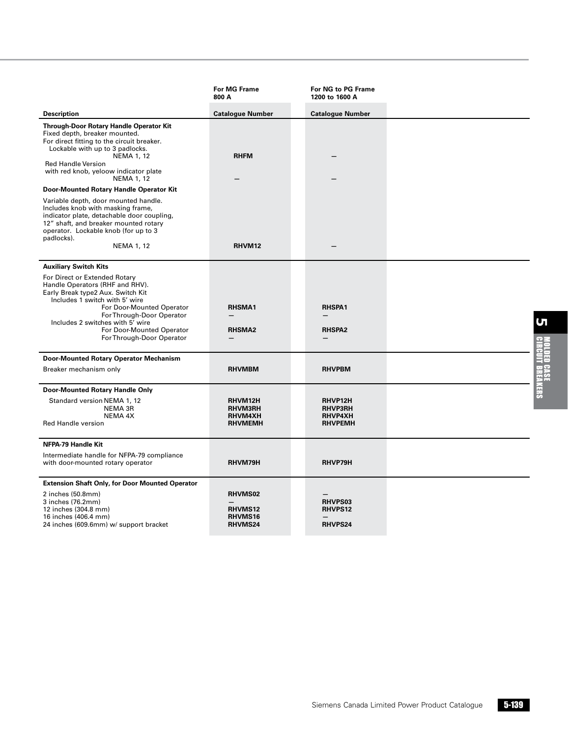|                                                                                                                                                                                                                                                                                                 | <b>For MG Frame</b><br>800 A                                  | For NG to PG Frame<br>1200 to 1600 A                   |  |
|-------------------------------------------------------------------------------------------------------------------------------------------------------------------------------------------------------------------------------------------------------------------------------------------------|---------------------------------------------------------------|--------------------------------------------------------|--|
| <b>Description</b>                                                                                                                                                                                                                                                                              | <b>Catalogue Number</b>                                       | <b>Catalogue Number</b>                                |  |
| Through-Door Rotary Handle Operator Kit<br>Fixed depth, breaker mounted.<br>For direct fitting to the circuit breaker.<br>Lockable with up to 3 padlocks.<br><b>NEMA 1, 12</b>                                                                                                                  | <b>RHFM</b>                                                   |                                                        |  |
| <b>Red Handle Version</b><br>with red knob, yeloow indicator plate<br><b>NEMA 1, 12</b>                                                                                                                                                                                                         |                                                               |                                                        |  |
| Door-Mounted Rotary Handle Operator Kit                                                                                                                                                                                                                                                         |                                                               |                                                        |  |
| Variable depth, door mounted handle.<br>Includes knob with masking frame,<br>indicator plate, detachable door coupling,<br>12" shaft, and breaker mounted rotary<br>operator. Lockable knob (for up to 3<br>padlocks).                                                                          |                                                               |                                                        |  |
| NEMA 1, 12                                                                                                                                                                                                                                                                                      | RHVM12                                                        |                                                        |  |
| <b>Auxiliary Switch Kits</b>                                                                                                                                                                                                                                                                    |                                                               |                                                        |  |
| For Direct or Extended Rotary<br>Handle Operators (RHF and RHV).<br>Early Break type2 Aux. Switch Kit<br>Includes 1 switch with 5' wire<br>For Door-Mounted Operator<br>For Through-Door Operator<br>Includes 2 switches with 5' wire<br>For Door-Mounted Operator<br>For Through-Door Operator | <b>RHSMA1</b><br><b>RHSMA2</b>                                | <b>RHSPA1</b><br><b>RHSPA2</b>                         |  |
| Door-Mounted Rotary Operator Mechanism                                                                                                                                                                                                                                                          |                                                               |                                                        |  |
| Breaker mechanism only                                                                                                                                                                                                                                                                          | <b>RHVMBM</b>                                                 | <b>RHVPBM</b>                                          |  |
| Door-Mounted Rotary Handle Only                                                                                                                                                                                                                                                                 |                                                               |                                                        |  |
| Standard version NEMA 1, 12<br><b>NEMA 3R</b><br>NEMA 4X<br><b>Red Handle version</b>                                                                                                                                                                                                           | RHVM12H<br>RHVM3RH<br><b>RHVM4XH</b><br><b>RHVMEMH</b>        | RHVP12H<br><b>RHVP3RH</b><br>RHVP4XH<br><b>RHVPEMH</b> |  |
| <b>NFPA-79 Handle Kit</b>                                                                                                                                                                                                                                                                       |                                                               |                                                        |  |
| Intermediate handle for NFPA-79 compliance<br>with door-mounted rotary operator                                                                                                                                                                                                                 | RHVM79H                                                       | RHVP79H                                                |  |
| <b>Extension Shaft Only, for Door Mounted Operator</b>                                                                                                                                                                                                                                          |                                                               |                                                        |  |
| 2 inches (50.8mm)<br>3 inches (76.2mm)<br>12 inches (304.8 mm)<br>16 inches (406.4 mm)<br>24 inches (609.6mm) w/ support bracket                                                                                                                                                                | <b>RHVMS02</b><br><b>RHVMS12</b><br><b>RHVMS16</b><br>RHVMS24 | <b>RHVPS03</b><br><b>RHVPS12</b><br><b>RHVPS24</b>     |  |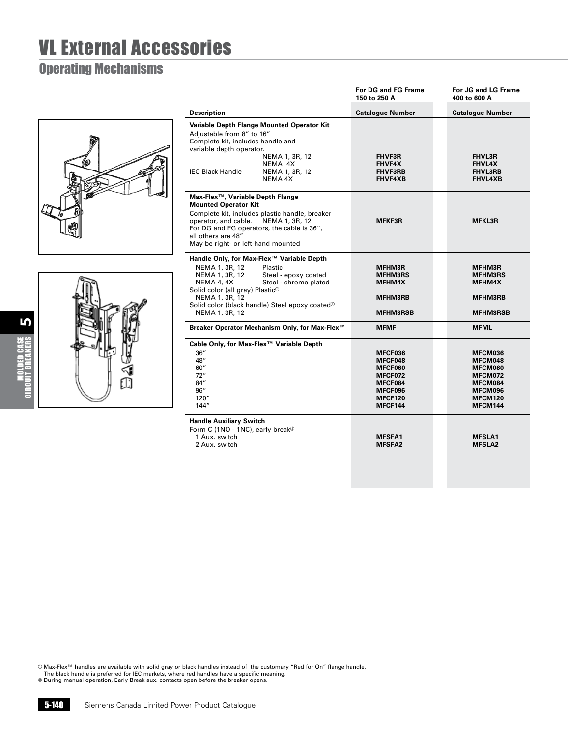#### Operating Mechanisms





|                                                                                                                                                                                                                                                                                                          | For DG and FG Frame<br>150 to 250 A                                                   | For JG and LG Frame<br>400 to 600 A                                                   |
|----------------------------------------------------------------------------------------------------------------------------------------------------------------------------------------------------------------------------------------------------------------------------------------------------------|---------------------------------------------------------------------------------------|---------------------------------------------------------------------------------------|
| <b>Description</b>                                                                                                                                                                                                                                                                                       | <b>Catalogue Number</b>                                                               | <b>Catalogue Number</b>                                                               |
| Variable Depth Flange Mounted Operator Kit<br>Adjustable from 8" to 16"<br>Complete kit, includes handle and<br>variable depth operator.<br>NEMA 1, 3R, 12<br>NEMA 4X<br><b>IFC Black Handle</b><br>NEMA 1, 3R, 12<br>NEMA 4X                                                                            | <b>FHVF3R</b><br><b>FHVF4X</b><br><b>FHVF3RB</b><br><b>FHVF4XB</b>                    | <b>FHVL3R</b><br><b>FHVL4X</b><br><b>FHVL3RB</b><br><b>FHVL4XB</b>                    |
| Max-Flex™, Variable Depth Flange<br><b>Mounted Operator Kit</b><br>Complete kit, includes plastic handle, breaker<br>operator, and cable. NEMA 1, 3R, 12<br>For DG and FG operators, the cable is 36",<br>all others are 48"<br>May be right- or left-hand mounted                                       | <b>MFKF3R</b>                                                                         | <b>MFKL3R</b>                                                                         |
| Handle Only, for Max-Flex™ Variable Depth<br>NEMA 1, 3R, 12<br>Plastic<br>NEMA 1, 3R, 12<br>Steel - epoxy coated<br>NEMA 4, 4X<br>Steel - chrome plated<br>Solid color (all gray) Plastic <sup>®</sup><br>NEMA 1, 3R, 12<br>Solid color (black handle) Steel epoxy coated <sup>®</sup><br>NEMA 1, 3R, 12 | <b>MFHM3R</b><br><b>MFHM3RS</b><br><b>MFHM4X</b><br><b>MFHM3RB</b><br><b>MFHM3RSB</b> | <b>MFHM3R</b><br><b>MFHM3RS</b><br><b>MFHM4X</b><br><b>MFHM3RB</b><br><b>MFHM3RSB</b> |
| Breaker Operator Mechanism Only, for Max-Flex™                                                                                                                                                                                                                                                           | <b>MFMF</b>                                                                           | <b>MFML</b>                                                                           |
| Cable Only, for Max-Flex™ Variable Depth<br>36''<br>48"<br>60''<br>72"<br>84"<br>96″<br>120''<br>144"                                                                                                                                                                                                    | MFCF036<br>MFCF048<br>MFCF060<br>MFCF072<br>MFCF084<br>MFCF096<br>MFCF120<br>MFCF144  | MFCM036<br>MFCM048<br>MFCM060<br>MFCM072<br>MFCM084<br>MFCM096<br>MFCM120<br>MFCM144  |
| <b>Handle Auxiliary Switch</b><br>Form C (1NO - 1NC), early break <sup>®</sup><br>1 Aux. switch<br>2 Aux. switch                                                                                                                                                                                         | <b>MFSFA1</b><br><b>MESFA2</b>                                                        | <b>MFSLA1</b><br><b>MFSLA2</b>                                                        |

© Max-Flex™ handles are available with solid gray or black handles instead of the customary "Red for On" flange handle.<br>The black handle is preferred for IEC markets, where red handles have a specific meaning.<br>© During m

5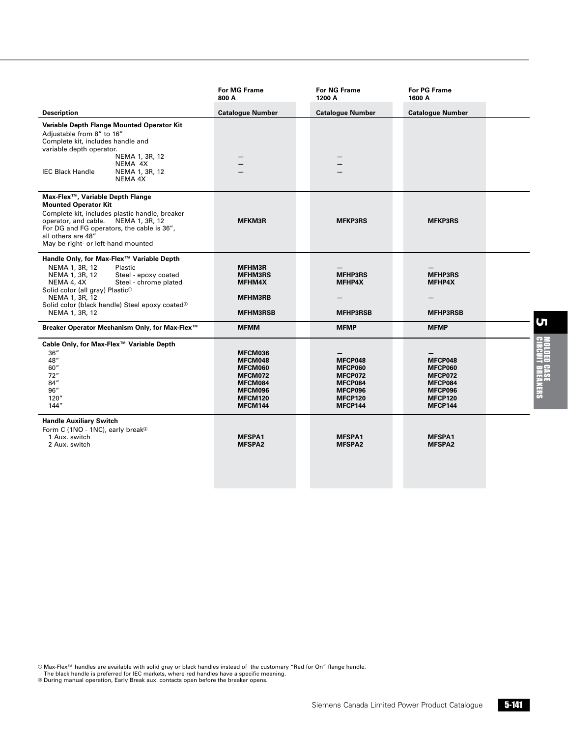|                                                                                                                                                                                                                                                                                                          | For MG Frame<br>800 A                                                                       | <b>For NG Frame</b><br>1200 A                                                    | <b>For PG Frame</b><br>1600 A                                                                  |
|----------------------------------------------------------------------------------------------------------------------------------------------------------------------------------------------------------------------------------------------------------------------------------------------------------|---------------------------------------------------------------------------------------------|----------------------------------------------------------------------------------|------------------------------------------------------------------------------------------------|
| <b>Description</b>                                                                                                                                                                                                                                                                                       | <b>Catalogue Number</b>                                                                     | <b>Catalogue Number</b>                                                          | <b>Catalogue Number</b>                                                                        |
| Variable Depth Flange Mounted Operator Kit<br>Adjustable from 8" to 16"<br>Complete kit, includes handle and<br>variable depth operator.<br>NEMA 1, 3R, 12<br>NEMA 4X<br><b>IEC Black Handle</b><br>NEMA 1, 3R, 12<br>NEMA 4X                                                                            |                                                                                             |                                                                                  |                                                                                                |
| Max-Flex™, Variable Depth Flange<br><b>Mounted Operator Kit</b><br>Complete kit, includes plastic handle, breaker<br>operator, and cable. NEMA 1, 3R, 12<br>For DG and FG operators, the cable is 36",<br>all others are 48"<br>May be right- or left-hand mounted                                       | <b>MFKM3R</b>                                                                               | <b>MFKP3RS</b>                                                                   | <b>MFKP3RS</b>                                                                                 |
| Handle Only, for Max-Flex™ Variable Depth<br>NEMA 1, 3R, 12<br>Plastic<br>Steel - epoxy coated<br>NEMA 1, 3R, 12<br>Steel - chrome plated<br>NEMA 4, 4X<br>Solid color (all gray) Plastic <sup>®</sup><br>NEMA 1, 3R, 12<br>Solid color (black handle) Steel epoxy coated <sup>®</sup><br>NEMA 1, 3R, 12 | MFHM3R<br><b>MFHM3RS</b><br>MFHM4X<br>MFHM3RB<br><b>MFHM3RSB</b>                            | <b>MFHP3RS</b><br>MFHP4X<br><b>MFHP3RSB</b>                                      | <b>MFHP3RS</b><br>MFHP4X<br><b>MFHP3RSB</b>                                                    |
| Breaker Operator Mechanism Only, for Max-Flex™                                                                                                                                                                                                                                                           | <b>MFMM</b>                                                                                 | <b>MFMP</b>                                                                      | <b>MFMP</b>                                                                                    |
| Cable Only, for Max-Flex™ Variable Depth<br>36''<br>48"<br>60''<br>72"<br>84"<br>96''<br>120''<br>144"                                                                                                                                                                                                   | MFCM036<br>MFCM048<br>MFCM060<br>MFCM072<br>MFCM084<br>MFCM096<br><b>MFCM120</b><br>MFCM144 | MFCP048<br>MFCP060<br>MFCP072<br>MFCP084<br>MFCP096<br><b>MFCP120</b><br>MFCP144 | MFCP048<br><b>MFCP060</b><br>MFCP072<br>MFCP084<br>MFCP096<br><b>MFCP120</b><br><b>MFCP144</b> |
| <b>Handle Auxiliary Switch</b><br>Form C (1NO - 1NC), early break <sup>20</sup><br>1 Aux. switch<br>2 Aux. switch                                                                                                                                                                                        | <b>MFSPA1</b><br><b>MFSPA2</b>                                                              | <b>MFSPA1</b><br><b>MFSPA2</b>                                                   | <b>MFSPA1</b><br><b>MFSPA2</b>                                                                 |

© Max-Flex™ handles are available with solid gray or black handles instead of the customary "Red for On" flange handle.<br>The black handle is preferred for IEC markets, where red handles have a specific meaning.<br>© During m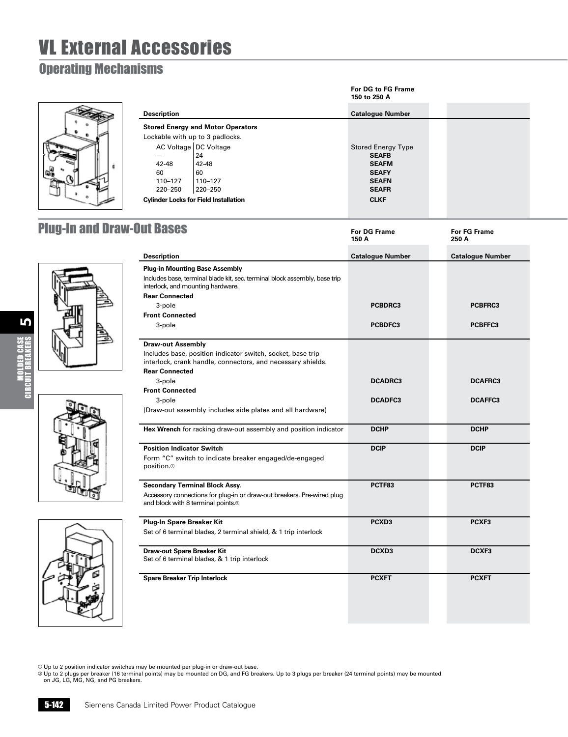### Operating Mechanisms



|                    |                                              | For DG to FG Frame<br>150 to 250 A |
|--------------------|----------------------------------------------|------------------------------------|
| <b>Description</b> |                                              | <b>Catalogue Number</b>            |
|                    | <b>Stored Energy and Motor Operators</b>     |                                    |
|                    | Lockable with up to 3 padlocks.              |                                    |
|                    | AC Voltage   DC Voltage                      | <b>Stored Energy Type</b>          |
|                    | 24                                           | <b>SEAFB</b>                       |
| $42 - 48$          | $42 - 48$                                    | <b>SEAFM</b>                       |
| 60                 | 60                                           | <b>SEAFY</b>                       |
| 110-127            | 110-127                                      | <b>SEAFN</b>                       |
| 220-250            | 220-250                                      | <b>SEAFR</b>                       |
|                    | <b>Cylinder Locks for Field Installation</b> | <b>CLKF</b>                        |

### **Plug-In and Draw-O**



5





| <b>Out Bases</b>                                                                                                                                         | <b>For DG Frame</b><br>150 A | <b>For FG Frame</b><br>250 A |
|----------------------------------------------------------------------------------------------------------------------------------------------------------|------------------------------|------------------------------|
| <b>Description</b>                                                                                                                                       | <b>Catalogue Number</b>      | <b>Catalogue Number</b>      |
| <b>Plug-in Mounting Base Assembly</b><br>Includes base, terminal blade kit, sec. terminal block assembly, base trip<br>interlock, and mounting hardware. |                              |                              |
| <b>Rear Connected</b>                                                                                                                                    |                              |                              |
| 3-pole                                                                                                                                                   | PCBDRC3                      | PCBFRC3                      |
| <b>Front Connected</b>                                                                                                                                   |                              |                              |
| 3-pole                                                                                                                                                   | PCBDFC3                      | PCBFFC3                      |
| <b>Draw-out Assembly</b>                                                                                                                                 |                              |                              |
| Includes base, position indicator switch, socket, base trip<br>interlock, crank handle, connectors, and necessary shields.                               |                              |                              |
| <b>Rear Connected</b>                                                                                                                                    |                              |                              |
| 3-pole                                                                                                                                                   | <b>DCADRC3</b>               | <b>DCAFRC3</b>               |
| <b>Front Connected</b>                                                                                                                                   |                              |                              |
| 3-pole                                                                                                                                                   | <b>DCADFC3</b>               | <b>DCAFFC3</b>               |
| (Draw-out assembly includes side plates and all hardware)                                                                                                |                              |                              |
| Hex Wrench for racking draw-out assembly and position indicator                                                                                          | <b>DCHP</b>                  | <b>DCHP</b>                  |
| <b>Position Indicator Switch</b>                                                                                                                         | <b>DCIP</b>                  | <b>DCIP</b>                  |
| Form "C" switch to indicate breaker engaged/de-engaged<br>position. <sup>10</sup>                                                                        |                              |                              |
| <b>Secondary Terminal Block Assy.</b>                                                                                                                    | PCTF83                       | PCTF83                       |
| Accessory connections for plug-in or draw-out breakers. Pre-wired plug<br>and block with 8 terminal points. <sup>2</sup>                                 |                              |                              |
| Plug-In Spare Breaker Kit                                                                                                                                | PCXD <sub>3</sub>            | PCXF3                        |
| Set of 6 terminal blades, 2 terminal shield, & 1 trip interlock                                                                                          |                              |                              |
| Draw-out Spare Breaker Kit                                                                                                                               | DCXD3                        | DCXF3                        |
| Set of 6 terminal blades, & 1 trip interlock                                                                                                             |                              |                              |
| <b>Spare Breaker Trip Interlock</b>                                                                                                                      | <b>PCXFT</b>                 | <b>PCXFT</b>                 |
|                                                                                                                                                          |                              |                              |

© Up to 2 position indicator switches may be mounted per plug-in or draw-out base.<br>© Up to 2 plugs per breaker (16 terminal points) may be mounted on DG, and FG breakers. Up to 3 plugs per breaker (24 terminal points) may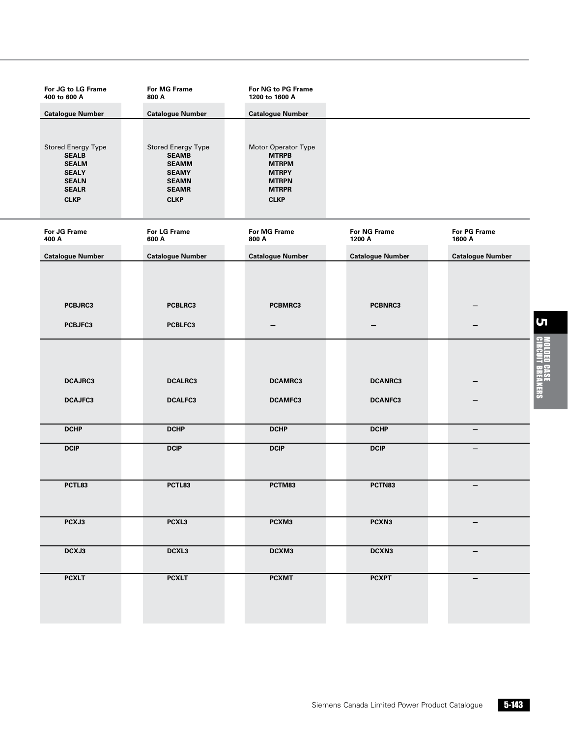| For JG to LG Frame<br>400 to 600 A                                                                                       | For MG Frame<br>800 A                                                                                                    | For NG to PG Frame<br>1200 to 1600 A                                                                               |                                  |                         |
|--------------------------------------------------------------------------------------------------------------------------|--------------------------------------------------------------------------------------------------------------------------|--------------------------------------------------------------------------------------------------------------------|----------------------------------|-------------------------|
| <b>Catalogue Number</b>                                                                                                  | <b>Catalogue Number</b>                                                                                                  | <b>Catalogue Number</b>                                                                                            |                                  |                         |
| <b>Stored Energy Type</b><br><b>SEALB</b><br><b>SEALM</b><br><b>SEALY</b><br><b>SEALN</b><br><b>SEALR</b><br><b>CLKP</b> | <b>Stored Energy Type</b><br><b>SEAMB</b><br><b>SEAMM</b><br><b>SEAMY</b><br><b>SEAMN</b><br><b>SEAMR</b><br><b>CLKP</b> | Motor Operator Type<br><b>MTRPB</b><br><b>MTRPM</b><br><b>MTRPY</b><br><b>MTRPN</b><br><b>MTRPR</b><br><b>CLKP</b> |                                  |                         |
| For JG Frame<br>400 A                                                                                                    | For LG Frame<br>600 A                                                                                                    | For MG Frame<br>800 A                                                                                              | For NG Frame<br>1200 A           | For PG Frame<br>1600 A  |
| <b>Catalogue Number</b>                                                                                                  | <b>Catalogue Number</b>                                                                                                  | <b>Catalogue Number</b>                                                                                            | <b>Catalogue Number</b>          | <b>Catalogue Number</b> |
| PCBJRC3<br>PCBJFC3                                                                                                       | PCBLRC3<br>PCBLFC3                                                                                                       | PCBMRC3                                                                                                            | PCBNRC3                          |                         |
| <b>DCAJRC3</b><br>DCAJFC3                                                                                                | <b>DCALRC3</b><br><b>DCALFC3</b>                                                                                         | <b>DCAMRC3</b><br><b>DCAMFC3</b>                                                                                   | <b>DCANRC3</b><br><b>DCANFC3</b> |                         |
| <b>DCHP</b>                                                                                                              | <b>DCHP</b>                                                                                                              | <b>DCHP</b>                                                                                                        | <b>DCHP</b>                      | $\qquad \qquad -$       |
| <b>DCIP</b>                                                                                                              | <b>DCIP</b>                                                                                                              | <b>DCIP</b>                                                                                                        | <b>DCIP</b>                      |                         |
| PCTL83                                                                                                                   | PCTL83                                                                                                                   | PCTM83                                                                                                             | PCTN83                           | $\qquad \qquad -$       |
| PCXJ3                                                                                                                    | PCXL3                                                                                                                    | PCXM3                                                                                                              | PCXN3                            |                         |
| DCXJ3                                                                                                                    | DCXL3                                                                                                                    | DCXM3                                                                                                              | DCXN3                            | $\qquad \qquad -$       |
| <b>PCXLT</b>                                                                                                             | <b>PCXLT</b>                                                                                                             | <b>PCXMT</b>                                                                                                       | <b>PCXPT</b>                     |                         |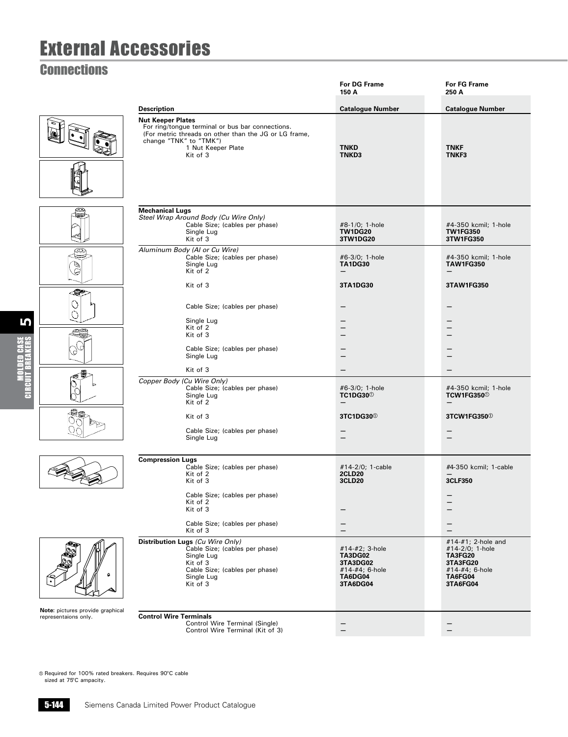### **Connections**

|                                  |                                                                                                                                                                                                   | <b>For DG Frame</b><br>150 A                                                          | <b>For FG Frame</b><br>250 A                                                                                        |
|----------------------------------|---------------------------------------------------------------------------------------------------------------------------------------------------------------------------------------------------|---------------------------------------------------------------------------------------|---------------------------------------------------------------------------------------------------------------------|
|                                  | <b>Description</b>                                                                                                                                                                                | <b>Catalogue Number</b>                                                               | <b>Catalogue Number</b>                                                                                             |
|                                  | <b>Nut Keeper Plates</b><br>For ring/tongue terminal or bus bar connections.<br>(For metric threads on other than the JG or LG frame,<br>change "TNK" to "TMK")<br>1 Nut Keeper Plate<br>Kit of 3 | <b>TNKD</b><br><b>TNKD3</b>                                                           | <b>TNKF</b><br>TNKF3                                                                                                |
|                                  | <b>Mechanical Lugs</b><br>Steel Wrap Around Body (Cu Wire Only)<br>Cable Size; (cables per phase)<br>Single Lug<br>Kit of 3                                                                       | #8-1/0; 1-hole<br><b>TW1DG20</b><br>3TW1DG20                                          | #4-350 kcmil; 1-hole<br><b>TW1FG350</b><br>3TW1FG350                                                                |
| ⋐<br>T<br>G                      | Aluminum Body (Al or Cu Wire)<br>Cable Size; (cables per phase)<br>Single Lug<br>Kit of 2                                                                                                         | #6-3/0; 1-hole<br><b>TA1DG30</b>                                                      | #4-350 kcmil; 1-hole<br><b>TAW1FG350</b>                                                                            |
| 15e<br>es.                       | Kit of 3<br>Cable Size; (cables per phase)<br>Single Lug<br>Kit of 2<br>Kit of 3                                                                                                                  | 3TA1DG30<br>—                                                                         | 3TAW1FG350<br>-                                                                                                     |
|                                  | Cable Size; (cables per phase)<br>Single Lug                                                                                                                                                      |                                                                                       |                                                                                                                     |
|                                  | Kit of 3<br>Copper Body (Cu Wire Only)<br>Cable Size; (cables per phase)<br>Single Lug<br>Kit of 2                                                                                                | #6-3/0; 1-hole<br><b>TC1DG30</b> <sup>0</sup><br>$\overline{\phantom{0}}$             | $\overline{\phantom{0}}$<br>#4-350 kcmil; 1-hole<br>TCW1FG350 <sup>0</sup>                                          |
|                                  | Kit of 3<br>Cable Size; (cables per phase)<br>Single Lug                                                                                                                                          | 3TC1DG30 <sup>0</sup><br>$\overline{\phantom{0}}$                                     | 3TCW1FG350 <sup>0</sup><br>$\overline{\phantom{a}}$                                                                 |
|                                  | <b>Compression Lugs</b><br>Cable Size; (cables per phase)<br>Kit of 2<br>Kit of 3                                                                                                                 | #14-2/0; 1-cable<br><b>2CLD20</b><br><b>3CLD20</b>                                    | #4-350 kcmil; 1-cable<br>3CLF350                                                                                    |
|                                  | Cable Size; (cables per phase)<br>Kit of 2<br>Kit of 3<br>Cable Size; (cables per phase)<br>Kit of 3                                                                                              |                                                                                       | $\qquad \qquad -$                                                                                                   |
| Note: pictures provide graphical | Distribution Lugs (Cu Wire Only)<br>Cable Size; (cables per phase)<br>Single Lug<br>Kit of 3<br>Cable Size; (cables per phase)<br>Single Lug<br>Kit of 3                                          | #14-#2; 3-hole<br><b>TA3DG02</b><br>3TA3DG02<br>#14-#4; 6-hole<br>TA6DG04<br>3TA6DG04 | #14-#1; 2-hole and<br>#14-2/0; 1-hole<br><b>TA3FG20</b><br>3TA3FG20<br>#14-#4; 6-hole<br><b>TA6FG04</b><br>3TA6FG04 |
| representaions only.             | <b>Control Wire Terminals</b><br>Control Wire Terminal (Single)<br>Control Wire Terminal (Kit of 3)                                                                                               |                                                                                       |                                                                                                                     |

Required for 100% rated breakers. Requires 90°C cable sized at 75°C ampacity.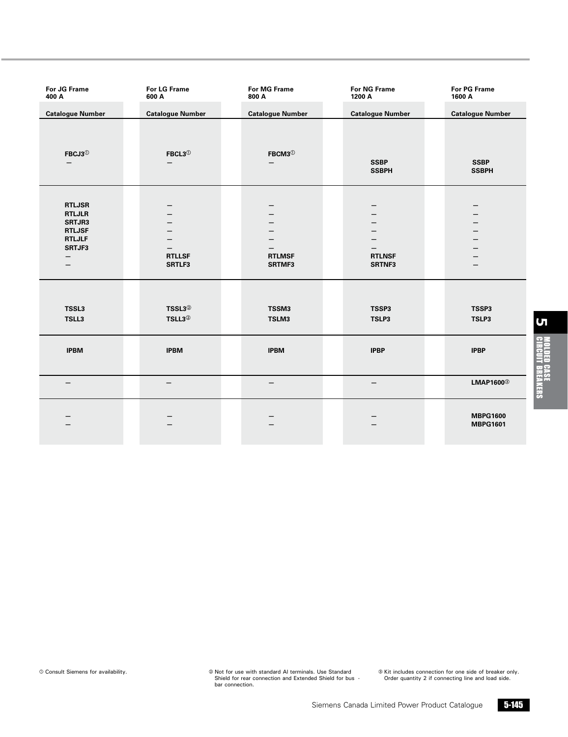| For JG Frame<br>400 A                                                                     | For LG Frame<br>600 A                    | <b>For MG Frame</b><br>800 A | For NG Frame<br>1200 A       | For PG Frame<br>1600 A             |
|-------------------------------------------------------------------------------------------|------------------------------------------|------------------------------|------------------------------|------------------------------------|
| <b>Catalogue Number</b>                                                                   | <b>Catalogue Number</b>                  | <b>Catalogue Number</b>      | <b>Catalogue Number</b>      | <b>Catalogue Number</b>            |
| FBCJ3 $\textcircled{\scriptsize{1}}$<br>$\overline{\phantom{m}}$                          | $FBCL3^{\circledS}$<br>-                 | FBCM3 $^{\circ}$<br>—        | <b>SSBP</b><br><b>SSBPH</b>  | <b>SSBP</b><br><b>SSBPH</b>        |
| <b>RTLJSR</b><br><b>RTLJLR</b><br>SRTJR3<br><b>RTLJSF</b><br><b>RTLJLF</b><br>SRTJF3<br>- | —<br><b>RTLLSF</b><br>SRTLF3             | <b>RTLMSF</b><br>SRTMF3      | -<br><b>RTLNSF</b><br>SRTNF3 | —<br>$\overline{\phantom{0}}$<br>— |
| TSSL3<br>TSLL3                                                                            | TSSL3 <sup>2</sup><br>TSLL3 <sup>2</sup> | TSSM3<br>TSLM3               | TSSP3<br>TSLP3               | TSSP3<br>TSLP3                     |
| <b>IPBM</b>                                                                               | <b>IPBM</b>                              | <b>IPBM</b>                  | <b>IPBP</b>                  | <b>IPBP</b>                        |
| $\qquad \qquad -$                                                                         | $\overline{\phantom{0}}$                 | $\overline{\phantom{0}}$     | $\qquad \qquad -$            | LMAP1600 <sup>3</sup>              |
|                                                                                           |                                          |                              |                              | <b>MBPG1600</b><br><b>MBPG1601</b> |

Consult Siemens for availability. Not for use with standard Al terminals. Use Standard Shield for rear connection and Extended Shield for bus - bar connection.

Kit includes connection for one side of breaker only. Order quantity 2 if connecting line and load side.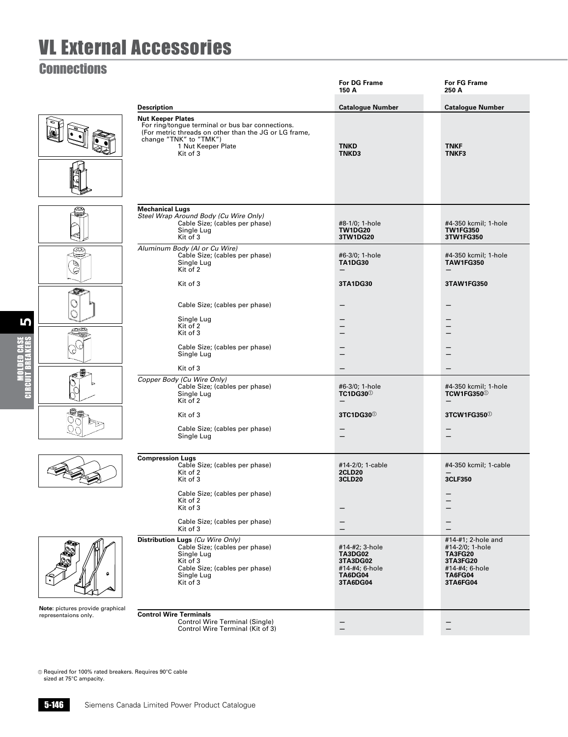### **Connections**

5

Molded Case Circuit Breakers

|                                  |                                                                                                                                                                                                        | For DG Frame<br>150 A                                                                 | For FG Frame<br>250 A                                                                                                    |
|----------------------------------|--------------------------------------------------------------------------------------------------------------------------------------------------------------------------------------------------------|---------------------------------------------------------------------------------------|--------------------------------------------------------------------------------------------------------------------------|
|                                  | <b>Description</b>                                                                                                                                                                                     | <b>Catalogue Number</b>                                                               | <b>Catalogue Number</b>                                                                                                  |
|                                  | <b>Nut Keeper Plates</b><br>For ring/tongue terminal or bus bar connections.<br>(For metric threads on other than the JG or LG frame,<br>change "TNK" to "TMK")<br>1 Nut Keeper Plate<br>Kit of 3      | <b>TNKD</b><br>TNKD3                                                                  | <b>TNKF</b><br><b>TNKF3</b>                                                                                              |
|                                  | <b>Mechanical Lugs</b><br>Steel Wrap Around Body (Cu Wire Only)<br>Cable Size; (cables per phase)<br>Single Lug<br>Kit of 3                                                                            | #8-1/0; 1-hole<br><b>TW1DG20</b><br>3TW1DG20                                          | #4-350 kcmil; 1-hole<br><b>TW1FG350</b><br>3TW1FG350                                                                     |
| ⋐<br>S<br>g                      | Aluminum Body (Al or Cu Wire)<br>Cable Size; (cables per phase)<br>Single Lug<br>Kit of 2<br>Kit of 3                                                                                                  | #6-3/0; 1-hole<br><b>TA1DG30</b><br>—<br>3TA1DG30                                     | #4-350 kcmil; 1-hole<br><b>TAW1FG350</b><br>$\overline{\phantom{m}}$<br>3TAW1FG350                                       |
| Œ<br>S                           | Cable Size; (cables per phase)<br>Single Lug<br>Kit of 2<br>Kit of 3<br>Cable Size; (cables per phase)<br>Single Lug                                                                                   | —<br>—<br>$\overline{\phantom{0}}$                                                    | —                                                                                                                        |
|                                  | Kit of 3<br>Copper Body (Cu Wire Only)<br>Cable Size; (cables per phase)<br>Single Lug<br>Kit of 2                                                                                                     | —<br>#6-3/0; 1-hole<br><b>TC1DG30</b> <sup>0</sup><br>$\overline{\phantom{0}}$        | #4-350 kcmil; 1-hole<br><b>TCW1FG350</b> <sup>0</sup>                                                                    |
|                                  | Kit of 3<br>Cable Size; (cables per phase)<br>Single Lug                                                                                                                                               | 3TC1DG30 <sup>0</sup><br>—                                                            | 3TCW1FG350 <sup>0</sup><br>$\overline{\phantom{0}}$                                                                      |
|                                  | <b>Compression Lugs</b><br>Cable Size; (cables per phase)<br>Kit of 2<br>Kit of 3<br>Cable Size; (cables per phase)<br>Kit of 2<br>Kit of 3                                                            | #14-2/0; 1-cable<br><b>2CLD20</b><br><b>3CLD20</b>                                    | #4-350 kcmil; 1-cable<br>3CLF350                                                                                         |
| Note: pictures provide graphical | Cable Size; (cables per phase)<br>Kit of 3<br>Distribution Lugs (Cu Wire Only)<br>Cable Size; (cables per phase)<br>Single Lug<br>Kit of 3<br>Cable Size; (cables per phase)<br>Single Lug<br>Kit of 3 | #14-#2; 3-hole<br><b>TA3DG02</b><br>3TA3DG02<br>#14-#4; 6-hole<br>TA6DG04<br>3TA6DG04 | —<br>#14-#1; 2-hole and<br>#14-2/0; 1-hole<br><b>TA3FG20</b><br>3TA3FG20<br>#14-#4; 6-hole<br><b>TA6FG04</b><br>3TA6FG04 |
| representaions only.             | <b>Control Wire Terminals</b><br>Control Wire Terminal (Single)<br>Control Wire Terminal (Kit of 3)                                                                                                    |                                                                                       |                                                                                                                          |

Required for 100% rated breakers. Requires 90°C cable sized at 75°C ampacity.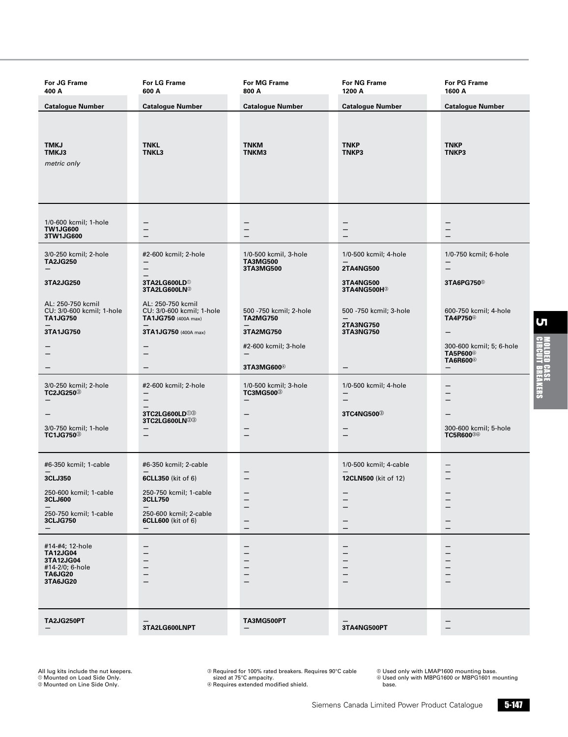| For JG Frame<br>400 A                                                                            | For LG Frame<br>600 A                                                 | For MG Frame<br>800 A                                      | For NG Frame<br>1200 A                          | For PG Frame<br>1600 A                                                          |
|--------------------------------------------------------------------------------------------------|-----------------------------------------------------------------------|------------------------------------------------------------|-------------------------------------------------|---------------------------------------------------------------------------------|
| <b>Catalogue Number</b>                                                                          | <b>Catalogue Number</b>                                               | <b>Catalogue Number</b>                                    | <b>Catalogue Number</b>                         | <b>Catalogue Number</b>                                                         |
| TMKJ<br>TMKJ3<br>metric only                                                                     | <b>TNKL</b><br>TNKL3                                                  | <b>TNKM</b><br><b>TNKM3</b>                                | <b>TNKP</b><br>TNKP3                            | <b>TNKP</b><br><b>TNKP3</b>                                                     |
| 1/0-600 kcmil; 1-hole<br><b>TW1JG600</b><br>3TW1JG600                                            | —<br>—                                                                | —<br>—<br>—                                                | —<br><sup>-</sup><br>—                          | -<br>$\overline{\phantom{0}}$                                                   |
| 3/0-250 kcmil; 2-hole<br><b>TA2JG250</b>                                                         | #2-600 kcmil; 2-hole<br>$\qquad \qquad -$<br>—                        | 1/0-500 kcmil, 3-hole<br><b>TA3MG500</b><br>3TA3MG500      | 1/0-500 kcmil; 4-hole<br>2TA4NG500              | 1/0-750 kcmil; 6-hole<br>$\qquad \qquad -$<br>$\qquad \qquad -$                 |
| 3TA2JG250                                                                                        | 3TA2LG600LD <sup>®</sup><br>3TA2LG600LN <sup>2</sup>                  |                                                            | 3TA4NG500<br>3TA4NG500H <sup>®</sup>            | 3TA6PG750 <sup>®</sup>                                                          |
| AL: 250-750 kcmil<br>CU: 3/0-600 kcmil; 1-hole<br><b>TA1JG750</b>                                | AL: 250-750 kcmil<br>CU: 3/0-600 kcmil; 1-hole<br>TA1JG750 (400A max) | 500 -750 kcmil; 2-hole<br><b>TA2MG750</b>                  | 500 - 750 kcmil; 3-hole                         | 600-750 kcmil; 4-hole<br>TA4P750 <sup>®</sup>                                   |
| 3TA1JG750                                                                                        | 3TA1JG750 (400A max)                                                  | 3TA2MG750                                                  | 2TA3NG750<br>3TA3NG750                          | -                                                                               |
|                                                                                                  |                                                                       | #2-600 kcmil; 3-hole<br>$\overline{\phantom{m}}$           |                                                 | 300-600 kcmil; 5; 6-hole<br>TA5P600 <sup>®</sup><br><b>TA6R600</b> <sup>®</sup> |
|                                                                                                  |                                                                       | 3TA3MG600 <sup>@</sup>                                     | $\qquad \qquad -$                               |                                                                                 |
| 3/0-250 kcmil; 2-hole<br><b>TC2JG250</b> <sup>3</sup>                                            | #2-600 kcmil; 2-hole<br>-                                             | 1/0-500 kcmil; 3-hole<br><b>TC3MG500</b> <sup>3</sup><br>— | 1/0-500 kcmil; 4-hole<br>—<br>$\qquad \qquad -$ |                                                                                 |
|                                                                                                  | 3TC2LG600LD <sup>00</sup>                                             |                                                            | 3TC4NG500 <sup>3</sup>                          |                                                                                 |
| 3/0-750 kcmil; 1-hole<br><b>TC1JG750</b> <sup>3</sup>                                            | 3TC2LG600LN23<br>-                                                    | —                                                          | $\qquad \qquad -$<br>—                          | 300-600 kcmil; 5-hole<br><b>TC5R600®®</b>                                       |
| #6-350 kcmil; 1-cable                                                                            | #6-350 kcmil; 2-cable                                                 |                                                            | 1/0-500 kcmil; 4-cable                          | $\overline{\phantom{m}}$                                                        |
| 3CLJ350                                                                                          | 6CLL350 (kit of 6)                                                    | $\qquad \qquad -$                                          | 12CLN500 (kit of 12)                            | -                                                                               |
| 250-600 kcmil; 1-cable<br>3CLJ600                                                                | 250-750 kcmil; 1-cable<br>3CLL750                                     | —                                                          | —                                               |                                                                                 |
| 250-750 kcmil; 1-cable<br><b>3CLJG750</b><br>$-$                                                 | 250-600 kcmil; 2-cable<br>6CLL600 (kit of 6)<br>-                     | $\qquad \qquad -$<br>-<br>$\qquad \qquad -$                | -<br>$\qquad \qquad -$                          |                                                                                 |
| #14-#4; 12-hole<br><b>TA12JG04</b><br>3TA12JG04<br>#14-2/0; 6-hole<br><b>TA6JG20</b><br>3TA6JG20 | $\qquad \qquad -$                                                     | -<br>-<br>—<br>—<br>—<br>—                                 | $\qquad \qquad$<br>—<br>—<br>—                  |                                                                                 |
| TA2JG250PT                                                                                       | 3TA2LG600LNPT                                                         | TA3MG500PT                                                 | 3TA4NG500PT                                     | -                                                                               |

® Required for 100% rated breakers. Requires 90°C cable<br>| sized at 75°C ampacity.<br>@ Requires extended modified shield.

<sup>e</sup> Used only with LMAP1600 mounting base. f Used only with MBPG1600 or MBPG1601 mounting base.

UТ Cir Molded Case cuit Breakers<br>Cuit Breakers

All lug kits include the nut keepers. <sup>a</sup> Mounted on Load Side Only. <sup>b</sup> Mounted on Line Side Only.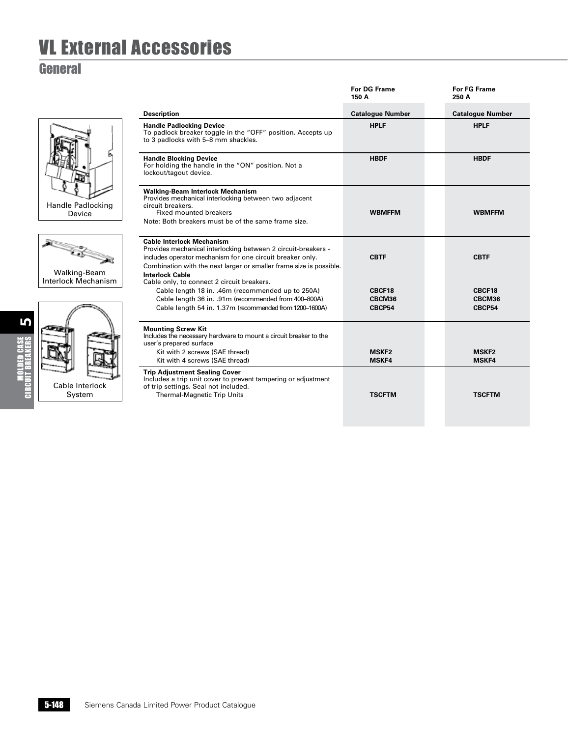#### **General**







|                                                                                                                                                                                                                                                                 | <b>For DG Frame</b><br>150 A | <b>For FG Frame</b><br>250 A |
|-----------------------------------------------------------------------------------------------------------------------------------------------------------------------------------------------------------------------------------------------------------------|------------------------------|------------------------------|
| <b>Description</b>                                                                                                                                                                                                                                              | <b>Catalogue Number</b>      | <b>Catalogue Number</b>      |
| <b>Handle Padlocking Device</b><br>To padlock breaker toggle in the "OFF" position. Accepts up<br>to 3 padlocks with 5-8 mm shackles.                                                                                                                           | <b>HPLF</b>                  | <b>HPLF</b>                  |
| <b>Handle Blocking Device</b><br>For holding the handle in the "ON" position. Not a<br>lockout/tagout device.                                                                                                                                                   | <b>HBDF</b>                  | <b>HBDF</b>                  |
| <b>Walking-Beam Interlock Mechanism</b><br>Provides mechanical interlocking between two adjacent<br>circuit breakers.<br><b>Fixed mounted breakers</b><br>Note: Both breakers must be of the same frame size.                                                   | <b>WBMFFM</b>                | <b>WBMFFM</b>                |
| <b>Cable Interlock Mechanism</b><br>Provides mechanical interlocking between 2 circuit-breakers -<br>includes operator mechanism for one circuit breaker only.<br>Combination with the next larger or smaller frame size is possible.<br><b>Interlock Cable</b> | <b>CBTF</b>                  | <b>CBTF</b>                  |
| Cable only, to connect 2 circuit breakers.<br>Cable length 18 in. .46m (recommended up to 250A)<br>Cable length 36 in. .91m (recommended from 400-800A)<br>Cable length 54 in. 1.37m (recommended from 1200-1600A)                                              | CBCF18<br>CBCM36<br>CBCP54   | CBCF18<br>CBCM36<br>CBCP54   |
| <b>Mounting Screw Kit</b><br>Includes the necessary hardware to mount a circuit breaker to the<br>user's prepared surface<br>Kit with 2 screws (SAE thread)<br>Kit with 4 screws (SAE thread)                                                                   | <b>MSKF2</b><br><b>MSKF4</b> | <b>MSKF2</b><br><b>MSKF4</b> |
| <b>Trip Adjustment Sealing Cover</b><br>Includes a trip unit cover to prevent tampering or adjustment<br>of trip settings. Seal not included.<br><b>Thermal-Magnetic Trip Units</b>                                                                             | <b>TSCFTM</b>                | <b>TSCFTM</b>                |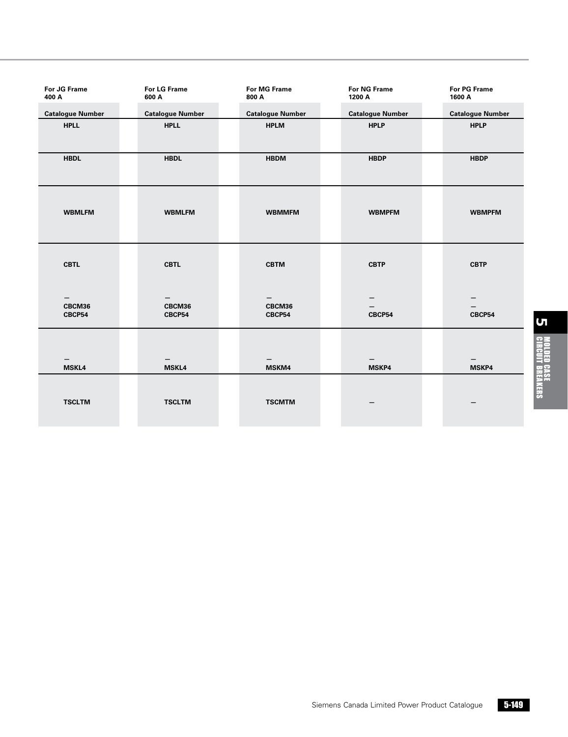| For JG Frame<br>400 A                 | <b>For LG Frame</b><br>600 A | <b>For MG Frame</b><br>800 A | <b>For NG Frame</b><br>1200 A | <b>For PG Frame</b><br>1600 A |
|---------------------------------------|------------------------------|------------------------------|-------------------------------|-------------------------------|
| <b>Catalogue Number</b>               | <b>Catalogue Number</b>      | <b>Catalogue Number</b>      | <b>Catalogue Number</b>       | <b>Catalogue Number</b>       |
| <b>HPLL</b>                           | <b>HPLL</b>                  | <b>HPLM</b>                  | <b>HPLP</b>                   | <b>HPLP</b>                   |
| <b>HBDL</b>                           | <b>HBDL</b>                  | <b>HBDM</b>                  | <b>HBDP</b>                   | <b>HBDP</b>                   |
| <b>WBMLFM</b>                         | <b>WBMLFM</b>                | <b>WBMMFM</b>                | <b>WBMPFM</b>                 | <b>WBMPFM</b>                 |
| <b>CBTL</b>                           | <b>CBTL</b>                  | <b>CBTM</b>                  | <b>CBTP</b>                   | <b>CBTP</b>                   |
| $\qquad \qquad -$<br>CBCM36<br>CBCP54 | —<br>CBCM36<br>CBCP54        | CBCM36<br>CBCP54             | CBCP54                        | CBCP54                        |
| <b>MSKL4</b>                          | <b>MSKL4</b>                 | MSKM4                        | MSKP4                         | MSKP4                         |
| <b>TSCLTM</b>                         | <b>TSCLTM</b>                | <b>TSCMTM</b>                |                               |                               |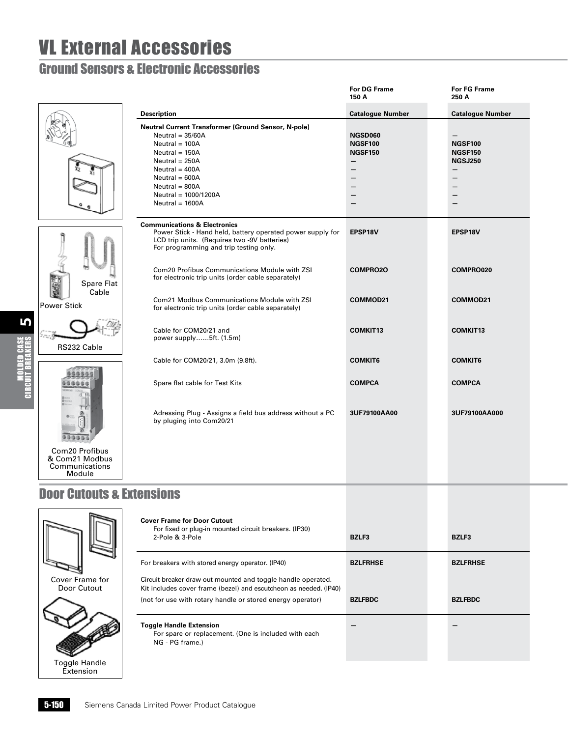#### Ground Sensors & Electronic Accessories

|                                                              |                                                                                                                                                                                                                                                       | <b>For DG Frame</b><br>150 A                                                   | <b>For FG Frame</b><br>250 A                                                   |
|--------------------------------------------------------------|-------------------------------------------------------------------------------------------------------------------------------------------------------------------------------------------------------------------------------------------------------|--------------------------------------------------------------------------------|--------------------------------------------------------------------------------|
|                                                              | <b>Description</b>                                                                                                                                                                                                                                    | <b>Catalogue Number</b>                                                        | <b>Catalogue Number</b>                                                        |
|                                                              | <b>Neutral Current Transformer (Ground Sensor, N-pole)</b><br>$Neutral = 35/60A$<br>Neutral = 100A<br>Neutral = $150A$<br>Neutral = $250A$<br>Neutral = $400A$<br>Neutral = $600A$<br>Neutral = $800A$<br>Neutral = $1000/1200A$<br>Neutral = $1600A$ | <b>NGSD060</b><br><b>NGSF100</b><br><b>NGSF150</b><br>$\overline{\phantom{0}}$ | <b>NGSF100</b><br><b>NGSF150</b><br><b>NGSJ250</b><br>$\overline{\phantom{m}}$ |
| Spare Flat<br>Cable<br>Power Stick                           | <b>Communications &amp; Electronics</b><br>Power Stick - Hand held, battery operated power supply for<br>LCD trip units. (Requires two -9V batteries)<br>For programming and trip testing only.                                                       | EPSP18V                                                                        | EPSP18V                                                                        |
|                                                              | Com20 Profibus Communications Module with ZSI<br>for electronic trip units (order cable separately)                                                                                                                                                   | <b>COMPRO2O</b>                                                                | COMPRO020                                                                      |
|                                                              | Com21 Modbus Communications Module with ZSI<br>for electronic trip units (order cable separately)                                                                                                                                                     | COMMOD21                                                                       | COMMOD21                                                                       |
| RS232 Cable                                                  | Cable for COM20/21 and<br>power supply5ft. (1.5m)                                                                                                                                                                                                     | <b>COMKIT13</b>                                                                | <b>COMKIT13</b>                                                                |
|                                                              | Cable for COM20/21, 3.0m (9.8ft).                                                                                                                                                                                                                     | <b>COMKIT6</b>                                                                 | <b>COMKIT6</b>                                                                 |
|                                                              | Spare flat cable for Test Kits                                                                                                                                                                                                                        | <b>COMPCA</b>                                                                  | <b>COMPCA</b>                                                                  |
|                                                              | Adressing Plug - Assigns a field bus address without a PC<br>by pluging into Com20/21                                                                                                                                                                 | 3UF79100AA00                                                                   | 3UF79100AA000                                                                  |
| Com20 Profibus<br>& Com21 Modbus<br>Communications<br>Module |                                                                                                                                                                                                                                                       |                                                                                |                                                                                |
|                                                              |                                                                                                                                                                                                                                                       |                                                                                |                                                                                |

#### Door Cutouts & Extensions



5

Molded Case Circuit Breakers

| <b>Cover Frame for Door Cutout</b><br>For fixed or plug-in mounted circuit breakers. (IP30)<br>2-Pole & 3-Pole                    | <b>BZLF3</b>    | <b>BZLF3</b>    |
|-----------------------------------------------------------------------------------------------------------------------------------|-----------------|-----------------|
| For breakers with stored energy operator. (IP40)                                                                                  | <b>BZLFRHSE</b> | <b>BZLFRHSE</b> |
| Circuit-breaker draw-out mounted and toggle handle operated.<br>Kit includes cover frame (bezel) and escutcheon as needed. (IP40) |                 |                 |
| (not for use with rotary handle or stored energy operator)                                                                        | <b>BZLFBDC</b>  | <b>BZLFBDC</b>  |
| <b>Toggle Handle Extension</b><br>For spare or replacement. (One is included with each<br>NG - PG frame.)                         |                 |                 |